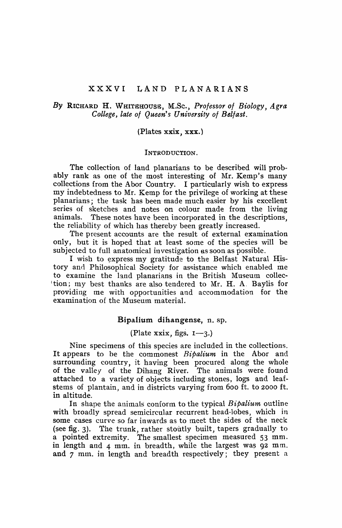# XXXVI LAND PLANARIANS

# *By* RICHARD H. WH[TEHOUSE, M.Sc.) *Professor 01 Biology, Agra College, late 01 Queen's University of Belfast.*

#### (Plates xxix, xxx.)

### INTRODUCTION.

The collection of land planarians to be described will probably rank as one of the most interesting of Mr. Kemp's many collections from the Abor Country. I particularly wish to express my indebtedness to Mr. Kemp for the privilege of working at these planarians; the task has been made much easier by his excellent series of sketches and notes on colour made from the living animals. These notes have been incorporated in the descriptions, the reliability of which has thereby been greatly increased.

The present accounts are the result of external examination only, but it is hoped that at least some of the species will be subjected to full anatomical in vestigation as soon as possible.

I wish to express my gratitude to the Belfast Natural History and Philosophical Society for assistance which enabled me to examine the land planarians in the British Museum collec- $\pm$  tion; my best thanks are also tendered to Mr. H. A. Baylis for providing me with opportunities and accommodation for the examination of the Museum material.

# Bipalium dihangense, n. sp.

# (Plate xxix, figs.  $I\rightarrow 3$ .)

Nine specimens of this species are included in the collections. It appears to be the commonest *Bipalium* in the Abor and surrounding country, it having been procured along the whole of the valley of the Dihang River. The animals were found attached to a variety of objects including stones, logs and leafstems of plantain, and in districts varying from 600 ft. to 2000 ft. in altitude.

In shape the animals conform to the typical *Bipalium.* outline with broadly spread semicircular recurrent head-lobes, which in some cases curve so far inwards as to meet the sides of the neck (see fig. 3). The trunk, rather stoutly built, tapers gradually to a pointed extremity. The smallest specimen measured 53 mm. in length and  $4$  mm. in breadth, while the largest was  $92$  mm. and 7 mm. in length and breadth respectively; they present a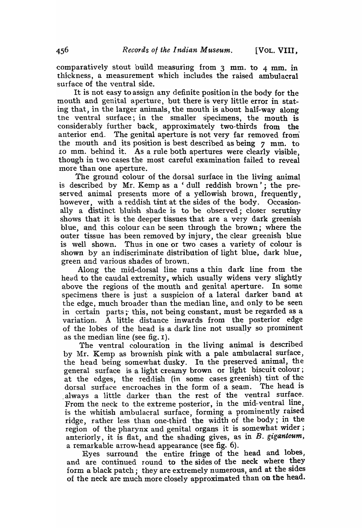comparatively stout build measuring from  $3$  mm. to  $4$  mm. in thickness, a measurement which includes the raised ambulacral surface of the ventral side.

It is not easy to assign any definite position in the body for the mouth and genital aperture, but there is very little error in stating that, in the larger animals, the mouth is about half-way along the ventral surface; in the smaller specimens, the mouth is considerably further back, approximately two-thirds from the anterior end. The genital aperture is not very far removed from the mouth and its position is best described as being  $\gamma$  mm. to Io mm. behind it. As a rule both apertures were clearly visible, though in two cases the most careful examination failed to reveal more than one aperture.

The ground colour of the dorsal surface in the living animal is described by Mr. Kemp as a 'dull reddish brown'; the preserved animal presents more of a yellowish brown, frequently, however, with a reddish tint at the sides of the body. Occasionally a distinct bluish shade is to be observed; closer scrutiny shows that it is the deeper tissues that are a very dark greenish blue, and this colour can be seen through the brown; where the outer tissue has been removed by injury, the clear greenish blue is well shown. Thus in one or two cases a variety of colour is shown by an indiscriminate distribution of light blue, dark blue, green and various shades of brown.

Along the mid-dorsal line runs a thin dark line from the head to the caudal extremity, which usually widens very slightly above the regions of the mouth and genital aperture. In some specimens there is just a suspicion of a lateral darker band at the edge, much broader than the median line, and only to be seen in certain parts; this, not being constant, must be regarded as a variation. A little distance inwards from the posterior edge of the lobes of the head is a dark line not usua11y so prominent as the median line (see fig.  $1$ ).

The ventral colouration in the living animal is described by Mr. Kemp as brownish pink with a pale ambulacral surface, the head being somewhat dusky. In the preserved animal, the general surface is a light creamy brown or light biscuit colour; at the edges, the reddish (in some cases greenish) tint of the dorsal surface encroaches in the form of a seam. The head is alwavs a little darker than the rest of the ventral surface. From the neck to the extreme posterior, in the mid-ventral line, is the whitish ambulacral surface, forming a prominently raised ridge, rather less than one-third the width of the body; in the region of the pharynx and genital organs it is somewhat wider; anteriorly, it is flat, and the shading gives, as in  $B$ . giganteum, a remarkable arrow-head appearance (see fig. 6).

Eyes surround the entire fringe of the head and lobes, and are continued round to the sides of the neck where they form a black patch; they are extremely numerous, and at the sides of the neck are much more closely approximated than on the head.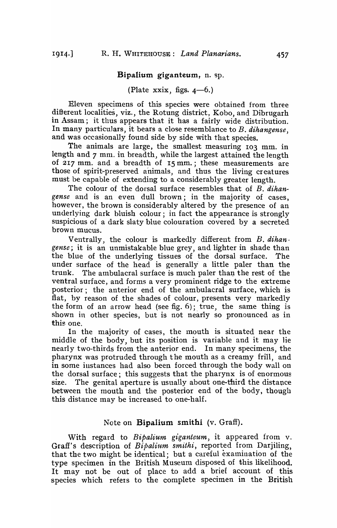### Bipalium giganteum, n. sp.

(Plate xxix, figs.  $4-6.$ )

Eleven specimens of this species were obtained from three different localities, viz., the Rotung district, Kobo, and Dibrugarh in Assam; it thus appears that it has a fairly wide distribution. In many particulars, it bears a close resemblance to *B. dihangense*, and was occasionally found side by side with that species.

The animals are large, the smallest measuring 103 mm. in length and 7 mm. in breadth, while the largest attained the length of 217 mm. and a breadth of IS mm.; these measurements are those of spirit-preserved animals, and thus the living creatures must be capable of extending to a considerably greater length.

The colour of the dorsal surface resembles that of B. *dihan\**  gense and is an even dull brown; in the majority of cases, however, the brown is considerably altered by the presence of an underlying dark bluish colour; in fact the appearance is strongly suspicious of a dark slaty blue colouration covered by a secreted brown mucus.

Ventrally, the colour is markedly different from B. *dihan· gense;* it is an unmistakable blue grey, and lighter in shade than the blue of the underlying tissues of the dorsal surface. The under surface of the head is generally a little paler than the trunk. The ambulacral surface is much paler than the rest of the ventral surface, and forms a very prominent ridge to the extreme posterior; the anterior end of the ambulacral surface, which is flat, by reason of the shades of colour, presents very markedly the form of an arrow head (see fig.  $6$ ); true, the same thing is shown in other species, but is not nearly so pronounced as in this one.

In the majority of cases, the mouth is situated near the middle of the body, but its position is variable and it may lie nearly two-thirds from the anterior end. In many specimens, the pharynx was protruded through the mouth as a creamy frill, and in some instances had also been forced through the body wall on the dorsal surface; this suggests that the pharynx is of enormous size. The genital aperture is usually about one-third the distance between the mouth and the posterior end of the body, though this distance may be increased to one-half.

#### Note on **Bipalium** smithi (v. Graff).

With regard to *Bipalium giganteum,* it appeared from v. Graff's description of  $B$ *ipalium smithi*, reported from Darjiling, that the two might be identical; but a careful examination of the type specimen in the British Museum disposed of this likelihood. It may not be out of place to add a brief account of this species which refets to the complete specimen in the British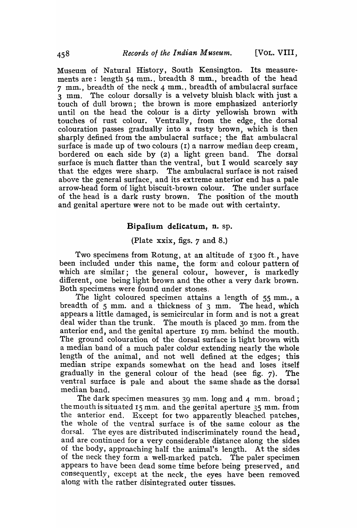Museum of Natural History, South Kensington. Its measurements are: length 54 mm., breadth 8 mm., breadth of the head 7 mm., breadth of the neck 4 mm., breadth of ambulacral surface 3 mm. The colour dorsally is a velvety bluish black with just a touch of dull brown; the brown is more emphasized anteriorly until on the head the colour is a dirty yellowish brown with touches of rust colour. Ventrally, from the edge, the dorsal colouration passes gradually into a rusty brown, which is then sharply defined from the ambulacral surface; the flat ambulacral surface is made up of two colours  $(1)$  a narrow median deep cream, bordered on each side by (2) a light green band. The dorsal surface is much flatter than the ventral, but I would scarcely say that the edges were sharp. The ambulacral surface is not raised above the general surface, and its extreme anterior end has a pale arrow-head form of light biscuit-brown colour. The under surface of the head is a dark rusty brown. The position of the mouth and genital aperture were not to be made out with certainty.

# Bipalium delicatum, n. sp.

#### (Plate xxix, figs. 7 and 8.)

Two specimens from Rotung, at an altitude of 1300 ft., have been included under this name, the form' and colour pattern of which are similar; the general colour, however, is markedly different, one being light brown and the other a very dark brown. Both specimens were found under stones.

The light coloured specimen attains a length of 55 mm., a breadth of 5 mm. and a thickness of 3 mm. The head, which appears a little damaged, is semicircular in form and is not a great deal wider than the trunk. The mouth is placed 30 mm. from the anterior end, and the genital aperture I9 mm. behind the mouth. The ground colouration of the dorsal surface is light brown with a median band of a much paler coldur extending nearly the whole length of the animal, and not well defined at the edges; this median stripe expands somewhat on the head and loses itself gradually in the general colour of the head (see fig. 7). The ventral surface is pale and about the same shade as the dorsal median band.

The dark specimen measures 39 mm. long and 4 mm. broad; the mouth is situated 15 mm. and the genital aperture 35 mm. from the anterior end. Except for two apparently bleached patches, the whole of the ventral surface is of the same colour as the dorsal. The eyes are distributed indiscriminately round the head, and are continued for a very considerable distance along the sides of the body, approaching balf the animal's length. At tbe sides of the neck they form a well-marked patch. The paler specimen appears to have been dead some time before being preserved, and consequently, except at the neck, the eyes have been removed along with the rather disintegrated outer tissues.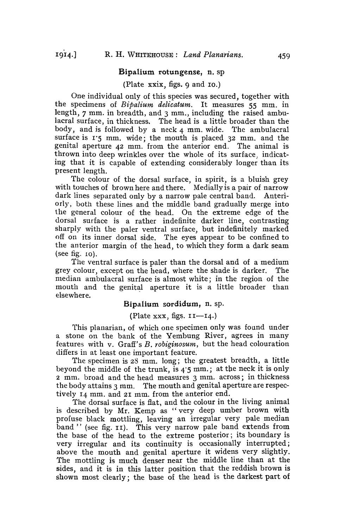#### Bipalium rotungense, n. sp

### (Plate xxix, figs. 9 and 10.)

One individual only of this species was secured, together with the specimens of *Bipalium delicatum.* It measures 55 mm. in length, 7 mm. in breadth, and 3 mm., including the raised ambulacral surface, in thickness. The head is a little broader than the body, and is followed by a neck  $4$  mm. wide. The ambulacral surface is  $1.5$  mm. wide; the mouth is placed 32 mm. and the genital aperture 42 mm. from the anterior end. The animal is thrown into deep wrinkles over the whole of its surface, indicating that it is capable of extending considerably longer than its present length.

The colour of the dorsal surface, in spirit, is a bluish grey with touches of brown here and there. Medially is a pair of narrow dark lines separated only by a narrow pale central band. Anteriorly, both these lines and the middle band gradually merge into the general colour of the head. On the extreme edge of the dorsal surface is a rather indefinite darker line, contrasting sharply with the paler ventral surface, but indefinitely marked off on its inner dorsal side. The eyes appear to be confined to the anterior margin of the head, to which they form a dark seam (see fig. 10).

The ventral surface is paler than the dorsal and of a medium grey colour, except on the head, where the shade is darker. The median ambulacral surface is almost white; in the region of the mouth and the genital aperture it is a little broader than elsewhere. .

# Bipalium sordidum, n. sp.

### (Plate xxx, figs.  $II-14$ .)

This planarian, of which one specimen only was found under a stone on the bank of the Yembung River, agrees in many features with v. Graff's B. *robiginosum,* but the head colouration differs in at least one important feature.

The specimen is 28 mm. long; the greatest breadth, a little beyond the middle of the trunk, is 4·5 mm.; at the neck it is only 2 mm. broad and the head measures 3 mm. across; in thickness the body attains 3 mm. The mouth and genital aperture are respectively 14 mm. and 21 mm. from the anterior end.

The dorsal surface is flat, and the colour in the living animal is described by Mr. Kemp as "very deep umber brown with profuse black mottling, leaving an irregular very pale median band " (see fig. 11). This very narrow pale band extends from the base of the head to the extreme posterior; its boundary is very irregular and its continuity is occasionally interrupted; above the mouth and genital aperture it widens very slightly. The mottling is much denser near the middle line than at the sides, and it is in this latter position that the reddish brown is shown most clearly; the base of the head is the darkest part of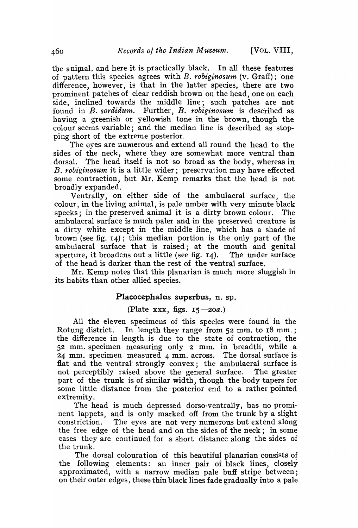the animal, and here it is practically black. In all these features of pattern this species agrees with *B. robiginosum.* (v. Graff); 'one difference, however, is that in the latter species, there are two prominent patches of clear reddish brown on the head, one on each side, inclined towards the middle line; such patches are not found in *B. sordidum.* Further, *B. robiginosum* is described as having a greenish or yellowish tone in the brown, though the colour seems variable; and the median line is described as stopping short of the extreme posterior.

The eyes are numerous and extend all round the head to the sides of the neck, where they are somewhat more ventral than dorsal. The head itself is not so broad as the body, whereas in *B. robiginosum* it is a little wider; preservation may have effected some contraction, but Mr. Kemp remarks that the head is not broadly expanded.

Ventrally, on either side of the ambulacral surface, the colour, in the living animal, is pale umber with very minute black specks; in the preserved animal it is a dirty brown colour. The ambulacral surface is much paler and in the preserved creature is a dirty white except in the middle line, which has a shade of brown (see fig. 14); this median portion is the only part of the ambulacral surface that is raised; at the mouth and genital aperture, it broadens out a little (see fig. I4). The under surface of the head is darker than the rest of the ventral surface.

Mr. Kemp notes that this planarian is much more sluggish in its habits than other allied species.

#### Placocephalus superbus, n. sp.

## (Plate xxx, figs. *15-20a.)*

All the eleven specimens of this species were found in the Rotung district. In length they range from 52 *min.* to I8 mm. ; the difference in length is due to the state of contraction, the 52 mm. specimen measuring only 2 mm. in breadth, while a 24 mm. specimen measured 4 mm. across. The dorsal surface is flat and the ventral' strongly convex; the ambulacral surface is not perceptibly raised above the general surface. The greater part of the trunk is of similar width, though the body tapers for some little distance from the posterior end to a rather pointed extremity.

The head is much depressed dorso-ventrally, has no prominent lappets, and is only marked off from the trunk by a slight constriction. The eyes are not very numerous but extend along the free edge of the head and on the sides of the neck; in some cases they are continued for a short distance along the sides of the trunk.

The dorsal colouration of this beautiful planarian consists of the following elements: an inner pair of black lines, closely approximated, with a narrow median pale buff stripe between; on their outer edges, these thin black lines fade gradually into a pale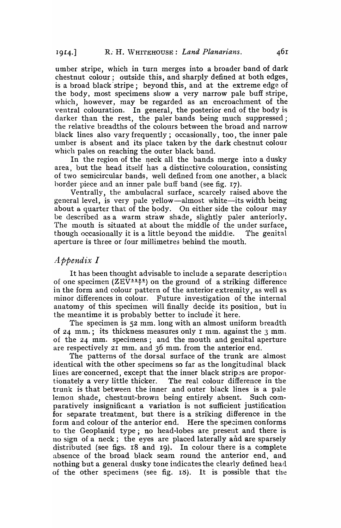umber stripe, which in turn merges into a broader band of dark chestnut colour; outside this, and sharply defined at both edges, is a broad black' stripe; beyond this, and at the extreme edge of the body, most specimens show a very narrow pale buff stripe, which, however, may be regarded as an encroachment of the ventral colouration. In general, the posterior end of the body is darker than the rest, the paler bands being much suppressed; the relative breadths of the colours between the broad and narrow black lines also vary frequently; occasionally, too, the inner pale umber is absent and its place taken by the dark chestnut colour which pales on reaching the outer black band.

In the region of the neck all the bands merge into a dusky area, but the head itself has a distinctive colouration, consisting of two semicircular bands, well defined from one another, a black border piece and an inner pale buff band (see fig. 17).

Ventrally, the ambulacral surface, scarcely raised above the general level, is very pale yellow-almost white-its width being about a quarter that of the body. On either side the colour may be described as a warm straw shade, slightly paler anteriorly. The mouth is situated at about the middle of the under surface, though occasionally it is a little beyond the middle. The genital aperture is three or four millimetres behind the mouth.

# *Appendix I*

It has been thought advisable to include a separate description of one specimen (ZEV $\frac{5299}{7}$ ) on the ground of a striking difference in the form and colour pattern of the anterior extremity, as well as minor differences in colour. Future investigation of the internal anatomy of this specimen will finally decide its position, but in the meantime it is probably better to include'it here.

The specimen is 52 mm. long with an almost uniform breadth of 24 mm.; its thickness measures only I mm. against the 3 mm. of the 24 mm. specimens; and the mouth and genital aperture are respectively 21 mm. and 36 mm. from the anterior end.

The patterns of the dorsal surface of the trunk are almost identical with the other specimens so far as the longitudinal black lines are concerned, except that the inner black stripes are proportionately a very little thicker. The real colour difference in the trunk is that between the inner and outer black lines is a pale lemon shade, chestnut-brown being entirely absent. Such comparatively insignificant a variation is not sufficient justification for separate treatment, but there is a striking difference in the form and colour of the anterior end. Here the specimen conforms to the Geoplanid type; no head-lobes are, present and there is no sign of a neck; the eyes are placed laterally and are sparsely distributed (see figs. I8 and 19). In colour there is a complete absence of the broad black seam round the anterior end, and nothing but a general dusky tone indicates the clearly defined head of the other specimens (see fig.  $18$ ). It is possible that the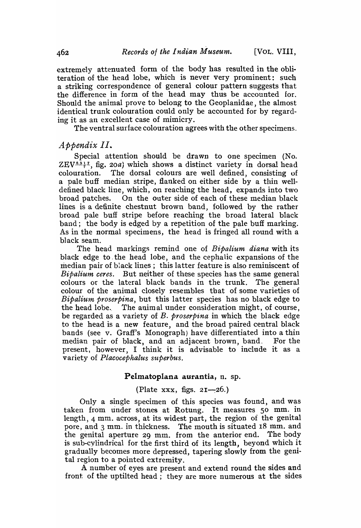extremely attenuated form of the body has resulted in the obliteration of the head lobe, which is never very prominent: such a striking correspondence of general colour pattern suggests that the difference in form of the head may thus be accounted for. Should the animal prove to belong to the Geoplanidae, the almost identical trunk colouration could only be accounted for by regarding it as an excellent case of mimicry.

The ventral surface colouration agrees with the other specimens.

# *Appendix II.*

Special attention should be drawn to one specimen (No. ZEV<sup> $5317$ </sup>, fig. 20a) which shows a distinct variety in dorsal head colouration. The dorsal colours are well defined, consisting of a pale buff median stripe, flanked on either side by a thin welldefined black line, which, on reaching the head, expands into two broad patches. On the outer side of each of these median black lines is a definite chestnut brown band, followed by the rather broad pale buff stripe before reaching the broad lateral black band; the body is edged by a repetition of the pale buff marking. As in the normal specimens, the head is fringed all round with a black seam.

The head markings remind one of *Bipalium diana* with its black edge to the head lobe, and the cephalic expansions of the median pair of black lines; this latter feature is also reminiscent of *Bipalium ceres.* But neither of these species has the same general colours or the lateral black bands in the trunk. The general colour of the animal closely resembles that of some varieties of *Bipalium proserpina,* but this latter species has no black edge to the head lobe. The animal under consideration might, of course, be regarded as a variety of *B. proserpina* in which the black edge to the head is a new feature, and the broad paired central black bands (see v. Graff's Monograph) have differentiated into a thin median pair of black, and an adjacent brown, band. For the present, however, I think it is advisable to include it as a variety of *Placocephalus superbus*.

# Pelmatoplana aurantia, n. sp.

(Plate xxx, figs.  $2I-26$ .)

Only a single specimen of this species was found, and was taken from under stones at Rotung. It measures 50 mm. in length) 4 mm. across, at its widest part, the region of the genital pore, and 3 mm. in thickness. 'fhe mouth is situated 18 mm. and the genital aperture 29 mm. from the anterior end. The body is sub-cylindrical for the first third of its length, beyond which it gradually becomes more depressed, tapering slowly from the genital region to a pointed extremity.

A number of eyes are present and extend round the sides and front: of the uptilted head; they are more numerous at the sides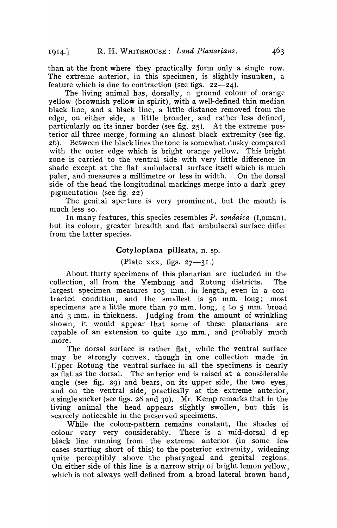than at the front where they practically form only a single row. The extreme anterior, in this specimen, is slightly insunken, a feature which is due to contraction (see figs.  $22-24$ ).

The living animal has, dorsally, a ground colour of orange yellow (brownish yellow in spirit), with a well-defined thin median black line, and a black line, a little distance removed from the edge, on either side, a little broader, and rather less defined, particularly on its inner border (see fig.  $25$ ). At the extreme posterior all three merge, forming an almost black extremity (see fig. 26). Between the black lines the tone is somewhat dusky compared with the outer edge which is bright orange yellow. This bright zone is carried to the ventral side with very little difference in shade except at the flat ambulacral surface itself which is much paler, and measures a millimetre or less in width. On the dorsal side of the head the longitudinal markings merge into a dark grey pigmentation (see fig.  $22$ )

The genital aperture is very prominent, but the mouth is much less so.

In many features, this species resembles *P. sondaica* (Loman), but its colour, greater breadth and fiat ambulacral surface differ from the latter species.

### Coty loplana pilleata, n. sp.

# (Plate xxx, figs.  $27 - 31$ .)

About thirty specimens of this planarian are included in the collection, all from the Yembung and Rotung districts. The largest specimen measures 105 mm. in length, even in a contracted condition, and the smallest is 50 mm. long; most specimens are a little more than 70 mm. long, 4 to 5 mm. broad and 3 mm. in thickness. Judging from the amount of wrinkling shown, it would appear that some of these planarians are capable of an extension to quite 130 mm., and probably much more.

'fhe dorsal surface is rather flat, while the ventral surface may be strongly convex, though in one collection made in Upper Rotung the ventral surface in all the specimens is nearly as fiat as the dorsal. The anterior end is raised at a considerable angle (see fig. 29) and bears, on its upper side, the two eyes, and on the ventral side, practically at the extreme anterior, a single sucker (see figs. 28 and 30). Mr. Kemp remarks that in the living animal the head appears slightly swollen, but this is scarcely noticeable in the preserved specimens.

While the colour-pattern remains constant, the shades of<br>ur vary very considerably. There is a mid-dorsal d ep colour vary very considerably. black line running from the extreme anterior (in some few cases starting short of this) to the posterior extremity, widening quite perceptibly above the pharyngeal and genital regions. On either side of this line is a narrow strip of bright lemon yellow, which is not always well defined from a broad lateral brown band,